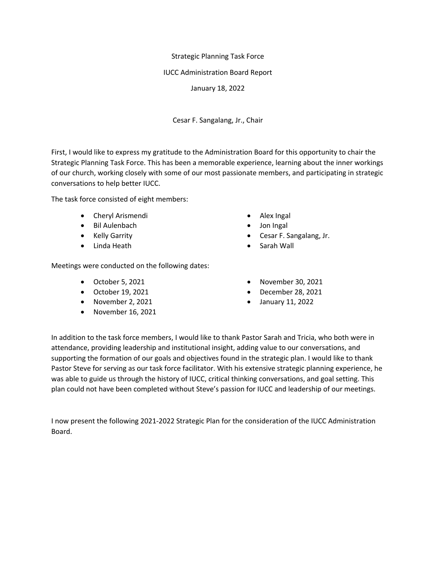# Strategic Planning Task Force

### IUCC Administration Board Report

January 18, 2022

Cesar F. Sangalang, Jr., Chair

First, I would like to express my gratitude to the Administration Board for this opportunity to chair the Strategic Planning Task Force. This has been a memorable experience, learning about the inner workings of our church, working closely with some of our most passionate members, and participating in strategic conversations to help better IUCC.

The task force consisted of eight members:

- Cheryl Arismendi
- Bil Aulenbach
- Kelly Garrity
- Linda Heath

Meetings were conducted on the following dates:

- October 5, 2021
- October 19, 2021
- November 2, 2021
- November 16, 2021
- Alex Ingal
- Jon Ingal
- Cesar F. Sangalang, Jr.
- Sarah Wall
- November 30, 2021
- December 28, 2021
- January 11, 2022

In addition to the task force members, I would like to thank Pastor Sarah and Tricia, who both were in attendance, providing leadership and institutional insight, adding value to our conversations, and supporting the formation of our goals and objectives found in the strategic plan. I would like to thank Pastor Steve for serving as our task force facilitator. With his extensive strategic planning experience, he was able to guide us through the history of IUCC, critical thinking conversations, and goal setting. This plan could not have been completed without Steve's passion for IUCC and leadership of our meetings.

I now present the following 2021-2022 Strategic Plan for the consideration of the IUCC Administration Board.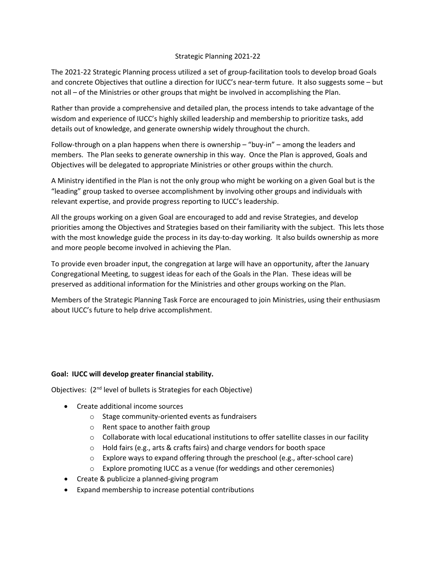#### Strategic Planning 2021-22

The 2021-22 Strategic Planning process utilized a set of group-facilitation tools to develop broad Goals and concrete Objectives that outline a direction for IUCC's near-term future. It also suggests some – but not all – of the Ministries or other groups that might be involved in accomplishing the Plan.

Rather than provide a comprehensive and detailed plan, the process intends to take advantage of the wisdom and experience of IUCC's highly skilled leadership and membership to prioritize tasks, add details out of knowledge, and generate ownership widely throughout the church.

Follow-through on a plan happens when there is ownership – "buy-in" – among the leaders and members. The Plan seeks to generate ownership in this way. Once the Plan is approved, Goals and Objectives will be delegated to appropriate Ministries or other groups within the church.

A Ministry identified in the Plan is not the only group who might be working on a given Goal but is the "leading" group tasked to oversee accomplishment by involving other groups and individuals with relevant expertise, and provide progress reporting to IUCC's leadership.

All the groups working on a given Goal are encouraged to add and revise Strategies, and develop priorities among the Objectives and Strategies based on their familiarity with the subject. This lets those with the most knowledge guide the process in its day-to-day working. It also builds ownership as more and more people become involved in achieving the Plan.

To provide even broader input, the congregation at large will have an opportunity, after the January Congregational Meeting, to suggest ideas for each of the Goals in the Plan. These ideas will be preserved as additional information for the Ministries and other groups working on the Plan.

Members of the Strategic Planning Task Force are encouraged to join Ministries, using their enthusiasm about IUCC's future to help drive accomplishment.

# **Goal: IUCC will develop greater financial stability.**

Objectives: (2<sup>nd</sup> level of bullets is Strategies for each Objective)

- Create additional income sources
	- o Stage community-oriented events as fundraisers
	- o Rent space to another faith group
	- $\circ$  Collaborate with local educational institutions to offer satellite classes in our facility
	- o Hold fairs (e.g., arts & crafts fairs) and charge vendors for booth space
	- o Explore ways to expand offering through the preschool (e.g., after-school care)
	- o Explore promoting IUCC as a venue (for weddings and other ceremonies)
- Create & publicize a planned-giving program
- Expand membership to increase potential contributions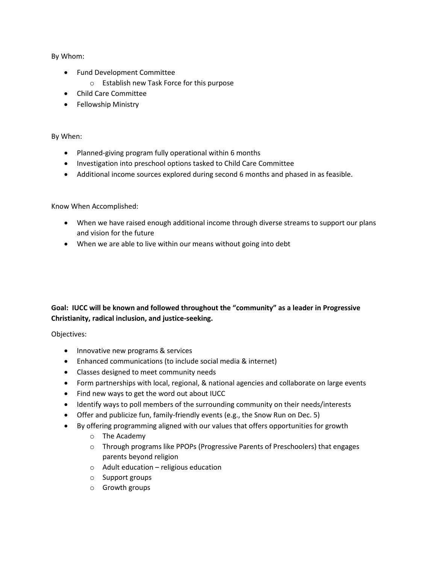By Whom:

- Fund Development Committee
	- o Establish new Task Force for this purpose
- Child Care Committee
- Fellowship Ministry

#### By When:

- Planned-giving program fully operational within 6 months
- Investigation into preschool options tasked to Child Care Committee
- Additional income sources explored during second 6 months and phased in as feasible.

Know When Accomplished:

- When we have raised enough additional income through diverse streams to support our plans and vision for the future
- When we are able to live within our means without going into debt

# **Goal: IUCC will be known and followed throughout the "community" as a leader in Progressive Christianity, radical inclusion, and justice-seeking.**

Objectives:

- Innovative new programs & services
- Enhanced communications (to include social media & internet)
- Classes designed to meet community needs
- Form partnerships with local, regional, & national agencies and collaborate on large events
- Find new ways to get the word out about IUCC
- Identify ways to poll members of the surrounding community on their needs/interests
- Offer and publicize fun, family-friendly events (e.g., the Snow Run on Dec. 5)
- By offering programming aligned with our values that offers opportunities for growth
	- o The Academy
	- o Through programs like PPOPs (Progressive Parents of Preschoolers) that engages parents beyond religion
	- $\circ$  Adult education religious education
	- o Support groups
	- o Growth groups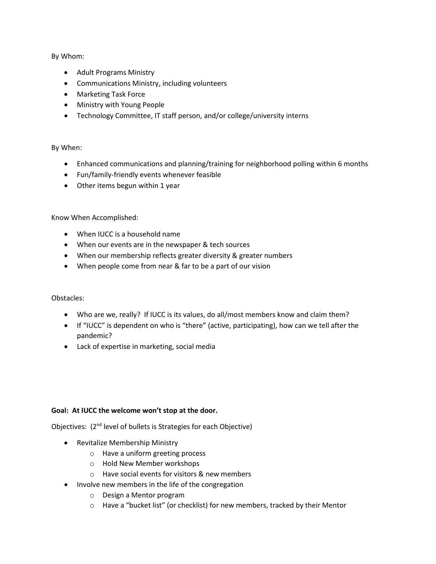By Whom:

- Adult Programs Ministry
- Communications Ministry, including volunteers
- Marketing Task Force
- Ministry with Young People
- Technology Committee, IT staff person, and/or college/university interns

#### By When:

- Enhanced communications and planning/training for neighborhood polling within 6 months
- Fun/family-friendly events whenever feasible
- Other items begun within 1 year

# Know When Accomplished:

- When IUCC is a household name
- When our events are in the newspaper & tech sources
- When our membership reflects greater diversity & greater numbers
- When people come from near & far to be a part of our vision

# Obstacles:

- Who are we, really? If IUCC is its values, do all/most members know and claim them?
- If "IUCC" is dependent on who is "there" (active, participating), how can we tell after the pandemic?
- Lack of expertise in marketing, social media

#### **Goal: At IUCC the welcome won't stop at the door.**

Objectives: (2<sup>nd</sup> level of bullets is Strategies for each Objective)

- Revitalize Membership Ministry
	- o Have a uniform greeting process
	- o Hold New Member workshops
	- o Have social events for visitors & new members
- Involve new members in the life of the congregation
	- o Design a Mentor program
	- o Have a "bucket list" (or checklist) for new members, tracked by their Mentor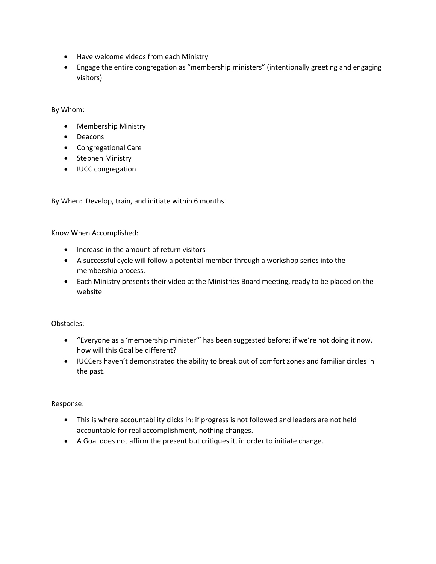- Have welcome videos from each Ministry
- Engage the entire congregation as "membership ministers" (intentionally greeting and engaging visitors)

By Whom:

- Membership Ministry
- Deacons
- Congregational Care
- Stephen Ministry
- IUCC congregation

By When: Develop, train, and initiate within 6 months

Know When Accomplished:

- Increase in the amount of return visitors
- A successful cycle will follow a potential member through a workshop series into the membership process.
- Each Ministry presents their video at the Ministries Board meeting, ready to be placed on the website

Obstacles:

- "Everyone as a 'membership minister'" has been suggested before; if we're not doing it now, how will this Goal be different?
- IUCCers haven't demonstrated the ability to break out of comfort zones and familiar circles in the past.

Response:

- This is where accountability clicks in; if progress is not followed and leaders are not held accountable for real accomplishment, nothing changes.
- A Goal does not affirm the present but critiques it, in order to initiate change.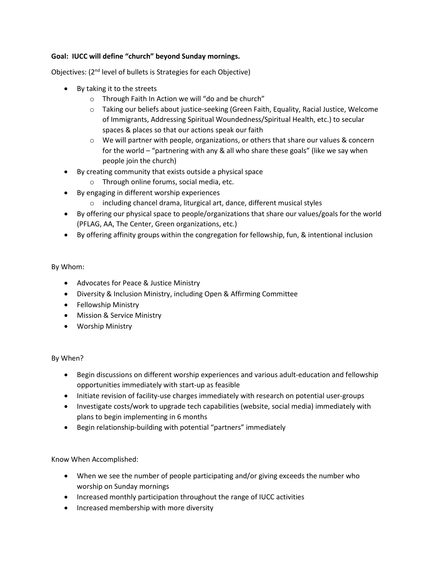## **Goal: IUCC will define "church" beyond Sunday mornings.**

Objectives: (2nd level of bullets is Strategies for each Objective)

- By taking it to the streets
	- o Through Faith In Action we will "do and be church"
	- o Taking our beliefs about justice-seeking (Green Faith, Equality, Racial Justice, Welcome of Immigrants, Addressing Spiritual Woundedness/Spiritual Health, etc.) to secular spaces & places so that our actions speak our faith
	- o We will partner with people, organizations, or others that share our values & concern for the world – "partnering with any & all who share these goals" (like we say when people join the church)
- By creating community that exists outside a physical space
	- o Through online forums, social media, etc.
- By engaging in different worship experiences
	- o including chancel drama, liturgical art, dance, different musical styles
- By offering our physical space to people/organizations that share our values/goals for the world (PFLAG, AA, The Center, Green organizations, etc.)
- By offering affinity groups within the congregation for fellowship, fun, & intentional inclusion

By Whom:

- Advocates for Peace & Justice Ministry
- Diversity & Inclusion Ministry, including Open & Affirming Committee
- Fellowship Ministry
- Mission & Service Ministry
- Worship Ministry

#### By When?

- Begin discussions on different worship experiences and various adult-education and fellowship opportunities immediately with start-up as feasible
- Initiate revision of facility-use charges immediately with research on potential user-groups
- Investigate costs/work to upgrade tech capabilities (website, social media) immediately with plans to begin implementing in 6 months
- Begin relationship-building with potential "partners" immediately

Know When Accomplished:

- When we see the number of people participating and/or giving exceeds the number who worship on Sunday mornings
- Increased monthly participation throughout the range of IUCC activities
- Increased membership with more diversity